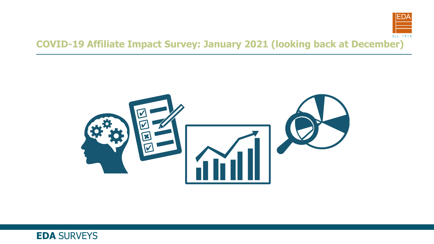



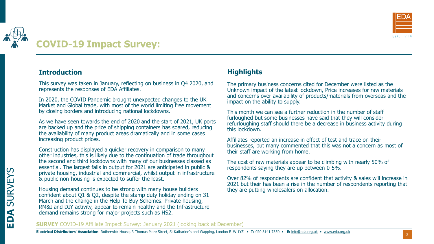

# **COVID-19 Impact Survey:**

# **Introduction**

This survey was taken in January, reflecting on business in Q4 2020, and represents the responses of EDA Affiliates.

In 2020, the COVID Pandemic brought unexpected changes to the UK Market and Global trade, with most of the world limiting free movement by closing borders and introducing national lockdowns.

As we have seen towards the end of 2020 and the start of 2021, UK ports are backed up and the price of shipping containers has soared, reducing the availability of many product areas dramatically and in some cases increasing product prices.

Construction has displayed a quicker recovery in comparison to many other industries, this is likely due to the continuation of trade throughout the second and third lockdowns with many of our businesses classed as essential. The largest falls in output for 2021 are anticipated in public & private housing, industrial and commercial, whilst output in infrastructure & public non-housing is expected to suffer the least.

Housing demand continues to be strong with many house builders confident about Q1 & Q2, despite the stamp duty holiday ending on 31 March and the change in the Help To Buy Schemes. Private housing, RM&I and DIY activity, appear to remain healthy and the Infrastructure demand remains strong for major projects such as HS2.

# **Highlights**

The primary business concerns cited for December were listed as the Unknown impact of the latest lockdown, Price increases for raw materials and concerns over availability of products/materials from overseas and the impact on the ability to supply.

This month we can see a further reduction in the number of staff furloughed but some businesses have said that they will consider refurloughing staff should there be a decrease in business activity during this lockdown.

Affiliates reported an increase in effect of test and trace on their businesses, but many commented that this was not a concern as most of their staff are working from home.

The cost of raw materials appear to be climbing with nearly 50% of respondents saying they are up between 0-5%.

Over 82% of respondents are confident that activity & sales will increase in 2021 but their has been a rise in the number of respondents reporting that they are putting wholesalers on allocation.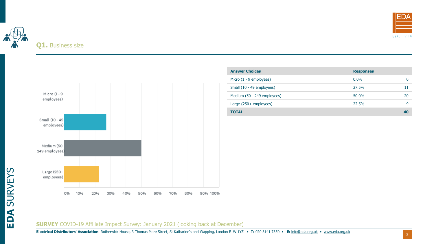



| <b>Answer Choices</b>       | <b>Responses</b> |    |
|-----------------------------|------------------|----|
| Micro $(1 - 9$ employees)   | $0.0\%$          |    |
| Small (10 - 49 employees)   | 27.5%            |    |
| Medium (50 - 249 employees) | 50.0%            | 20 |
| Large $(250 +$ employees)   | 22.5%            | a  |
| TOTAL                       |                  | 40 |

#### **SURVEY** COVID-19 Affiliate Impact Survey: January 2021 (looking back at December)

**Electrical Distributors' Association** Rotherwick House, 3 Thomas More Street, St Katharine's and Wapping, London E1W 1YZ • **T:** 020 3141 7350 • **E:** [info@eda.org.uk](mailto:info@eda.org.uk) • [www.eda.org.uk](https://www.eda.org.uk/)

**EDA** SURVEYS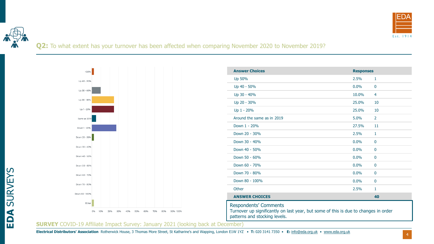



**EDA** SURVEYS

Q2: To what extent has your turnover has been affected when comparing November 2020 to November 2019?



| <b>Answer Choices</b>                                                                                                                                | <b>Responses</b> |                |  |
|------------------------------------------------------------------------------------------------------------------------------------------------------|------------------|----------------|--|
| Up 50%                                                                                                                                               | 2.5%             | 1              |  |
| Up 40 - 50%                                                                                                                                          | 0.0%             | 0              |  |
| Up 30 - 40%                                                                                                                                          | 10.0%            | 4              |  |
| Up 20 - 30%                                                                                                                                          | 25.0%            | 10             |  |
| Up 1 - 20%                                                                                                                                           | 25.0%            | 10             |  |
| Around the same as in 2019                                                                                                                           | 5.0%             | $\overline{2}$ |  |
| Down 1 - 20%                                                                                                                                         | 27.5%            | 11             |  |
| Down 20 - 30%                                                                                                                                        | 2.5%             | $\mathbf{1}$   |  |
| Down 30 - 40%                                                                                                                                        | 0.0%             | $\mathbf{0}$   |  |
| Down 40 - 50%                                                                                                                                        | 0.0%             | $\mathbf{0}$   |  |
| Down 50 - 60%                                                                                                                                        | 0.0%             | 0              |  |
| Down 60 - 70%                                                                                                                                        | 0.0%             | $\mathbf{0}$   |  |
| Down 70 - 80%                                                                                                                                        | 0.0%             | 0              |  |
| Down 80 - 100%                                                                                                                                       | 0.0%             | 0              |  |
| Other                                                                                                                                                | 2.5%             | $\mathbf{1}$   |  |
| <b>ANSWER CHOICES</b>                                                                                                                                |                  | 40             |  |
| <b>Respondents' Comments</b><br>Turnover up significantly on last year, but some of this is due to changes in order<br>patterns and stocking levels. |                  |                |  |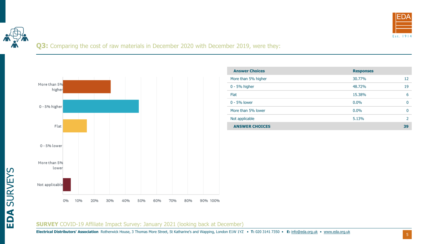



# Q3: Comparing the cost of raw materials in December 2020 with December 2019, were they:



| <b>Answer Choices</b> | <b>Responses</b> |    |
|-----------------------|------------------|----|
| More than 5% higher   | 30.77%           | 12 |
| $0 - 5%$ higher       | 48.72%           | 19 |
| <b>Flat</b>           | 15.38%           | 6  |
| 0 - 5% lower          | $0.0\%$          | 0  |
| More than 5% lower    | $0.0\%$          | 0  |
| Not applicable        | 5.13%            |    |
| <b>ANSWER CHOICES</b> |                  | 39 |

#### **SURVEY** COVID-19 Affiliate Impact Survey: January 2021 (looking back at December)

**Electrical Distributors' Association** Rotherwick House, 3 Thomas More Street, St Katharine's and Wapping, London E1W 1YZ • **T:** 020 3141 7350 • **E:** [info@eda.org.uk](mailto:info@eda.org.uk) • [www.eda.org.uk](https://www.eda.org.uk/)

**EDA** SURVEYS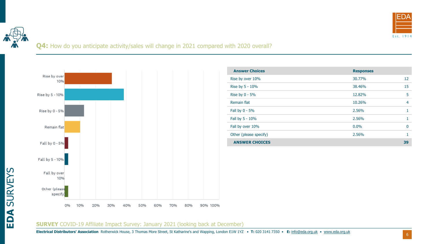

**EDA** SURVEYS

# Q4: How do you anticipate activity/sales will change in 2021 compared with 2020 overall?



| <b>Answer Choices</b>  | <b>Responses</b> |    |
|------------------------|------------------|----|
| Rise by over 10%       | 30.77%           | 12 |
| Rise by 5 - 10%        | 38.46%           | 15 |
| Rise by $0 - 5%$       | 12.82%           | 5  |
| Remain flat            | 10.26%           | 4  |
| Fall by 0 - 5%         | 2.56%            |    |
| Fall by 5 - 10%        | 2.56%            |    |
| Fall by over 10%       | 0.0%             | 0  |
| Other (please specify) | 2.56%            |    |
| <b>ANSWER CHOICES</b>  |                  | 39 |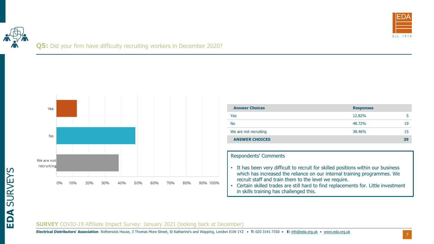

# **Q5:** Did your firm have difficulty recruiting workers in December 2020?



| <b>Answer Choices</b> | <b>Responses</b> |    |
|-----------------------|------------------|----|
| Yes                   | 12.82%           |    |
| <b>No</b>             | 48.72%           | 19 |
| We are not recruiting | 38.46%           | 15 |
| <b>ANSWER CHOICES</b> |                  | 39 |

#### Respondents' Comments

- It has been very difficult to recruit for skilled positions within our business which has increased the reliance on our internal training programmes. We recruit staff and train them to the level we require.
- Certain skilled trades are still hard to find replacements for. Little investment in skills training has challenged this.

#### **SURVEY** COVID-19 Affiliate Impact Survey: January 2021 (looking back at December)

**Electrical Distributors' Association** Rotherwick House, 3 Thomas More Street, St Katharine's and Wapping, London E1W 1YZ • **T:** 020 3141 7350 • **E:** [info@eda.org.uk](mailto:info@eda.org.uk) • [www.eda.org.uk](https://www.eda.org.uk/)

**EDA** SURVEYS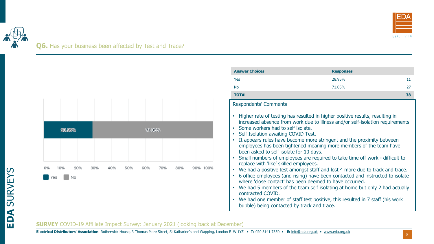



| 28.95%                        |     |     |     | 71.05% |     |     |             |
|-------------------------------|-----|-----|-----|--------|-----|-----|-------------|
|                               |     |     |     |        |     |     |             |
| 0%<br>20%<br>10%<br>Yes<br>No | 30% | 40% | 50% | 60%    | 70% | 80% | 90%<br>100% |

| <b>Answer Choices</b>                                                                                                                                                                                                                                                                                                                                                                                                                                                                                                                                                                                                                                                                                                                                                                                                                                                                                                                                                                                                                                  | <b>Responses</b> |    |
|--------------------------------------------------------------------------------------------------------------------------------------------------------------------------------------------------------------------------------------------------------------------------------------------------------------------------------------------------------------------------------------------------------------------------------------------------------------------------------------------------------------------------------------------------------------------------------------------------------------------------------------------------------------------------------------------------------------------------------------------------------------------------------------------------------------------------------------------------------------------------------------------------------------------------------------------------------------------------------------------------------------------------------------------------------|------------------|----|
| Yes                                                                                                                                                                                                                                                                                                                                                                                                                                                                                                                                                                                                                                                                                                                                                                                                                                                                                                                                                                                                                                                    | 28.95%           | 11 |
| <b>No</b>                                                                                                                                                                                                                                                                                                                                                                                                                                                                                                                                                                                                                                                                                                                                                                                                                                                                                                                                                                                                                                              | 71.05%           | 27 |
| <b>TOTAL</b>                                                                                                                                                                                                                                                                                                                                                                                                                                                                                                                                                                                                                                                                                                                                                                                                                                                                                                                                                                                                                                           |                  | 38 |
| <b>Respondents' Comments</b>                                                                                                                                                                                                                                                                                                                                                                                                                                                                                                                                                                                                                                                                                                                                                                                                                                                                                                                                                                                                                           |                  |    |
| Higher rate of testing has resulted in higher positive results, resulting in<br>increased absence from work due to illness and/or self-isolation requirements<br>Some workers had to self isolate.<br>Self Isolation awaiting COVID Test.<br>$\bullet$<br>It appears rules have become more stringent and the proximity between<br>employees has been tightened meaning more members of the team have<br>been asked to self isolate for 10 days.<br>Small numbers of employees are required to take time off work - difficult to<br>replace with 'like' skilled employees.<br>We had a positive test amongst staff and lost 4 more due to track and trace.<br>$\bullet$<br>6 office employees (and rising) have been contacted and instructed to isolate<br>where 'close contact' has been deemed to have occurred.<br>We had 5 members of the team self isolating at home but only 2 had actually<br>contracted COVID.<br>We had one member of staff test positive, this resulted in 7 staff (his work<br>bubble) being contacted by track and trace. |                  |    |

#### **SURVEY** COVID-19 Affiliate Impact Survey: January 2021 (looking back at December)

8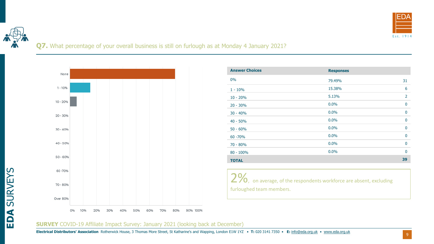

# **Q7.** What percentage of your overall business is still on furlough as at Monday 4 January 2021?



| <b>Answer Choices</b> | <b>Responses</b> |                |
|-----------------------|------------------|----------------|
| $0\%$                 | 79.49%           | 31             |
| $1 - 10%$             | 15.38%           | 6              |
| $10 - 20%$            | 5.13%            | $\overline{2}$ |
| $20 - 30%$            | $0.0\%$          | $\mathbf{0}$   |
| $30 - 40%$            | $0.0\%$          | $\mathbf{0}$   |
| $40 - 50%$            | $0.0\%$          | $\mathbf{0}$   |
| $50 - 60%$            | 0.0%             | $\mathbf{0}$   |
| 60 - 70%              | $0.0\%$          | $\mathbf{0}$   |
| $70 - 80%$            | 0.0%             | $\mathbf{0}$   |
| $80 - 100\%$          | $0.0\%$          | $\Omega$       |
| <b>TOTAL</b>          |                  | 39             |

2%, on average, of the respondents workforce are absent, excluding furloughed team members.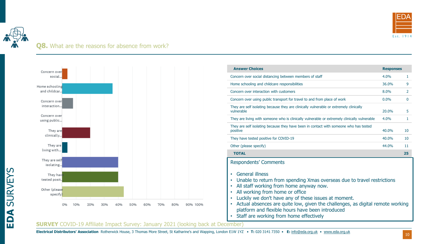

# **Q8.** What are the reasons for absence from work?



| <b>Answer Choices</b>                                                                                                                                                                                                                                                                                                                                                                                                                                                                                                                        | <b>Responses</b> |              |
|----------------------------------------------------------------------------------------------------------------------------------------------------------------------------------------------------------------------------------------------------------------------------------------------------------------------------------------------------------------------------------------------------------------------------------------------------------------------------------------------------------------------------------------------|------------------|--------------|
| Concern over social distancing between members of staff                                                                                                                                                                                                                                                                                                                                                                                                                                                                                      | 4.0%             | 1            |
| Home schooling and childcare responsibilities                                                                                                                                                                                                                                                                                                                                                                                                                                                                                                | 36.0%            | 9            |
| Concern over interaction with customers                                                                                                                                                                                                                                                                                                                                                                                                                                                                                                      | 8.0%             | 2            |
| Concern over using public transport for travel to and from place of work                                                                                                                                                                                                                                                                                                                                                                                                                                                                     | $0.0\%$          | $\mathbf{0}$ |
| They are self isolating because they are clinically vulnerable or extremely clinically<br>vulnerable                                                                                                                                                                                                                                                                                                                                                                                                                                         | 20.0%            | 5            |
| They are living with someone who is clinically vulnerable or extremely clinically vulnerable                                                                                                                                                                                                                                                                                                                                                                                                                                                 | 4.0%             | 1            |
| They are self isolating because they have been in contact with someone who has tested<br>positive                                                                                                                                                                                                                                                                                                                                                                                                                                            | 40.0%            | 10           |
| They have tested positive for COVID-19                                                                                                                                                                                                                                                                                                                                                                                                                                                                                                       | 40.0%            | 10           |
| Other (please specify)                                                                                                                                                                                                                                                                                                                                                                                                                                                                                                                       | 44.0%            | 11           |
| <b>TOTAL</b>                                                                                                                                                                                                                                                                                                                                                                                                                                                                                                                                 |                  | 25           |
| Respondents' Comments<br><b>General illness</b><br>$\bullet$<br>Unable to return from spending Xmas overseas due to travel restrictions<br>$\bullet$<br>All staff working from home anyway now.<br>$\bullet$<br>All working from home or office<br>$\bullet$<br>Luckily we don't have any of these issues at moment.<br>$\bullet$<br>Actual absences are quite low, given the challenges, as digital remote working<br>$\bullet$<br>platform and flexible hours have been introduced<br>Staff are working from home effectively<br>$\bullet$ |                  |              |

#### **SURVEY** COVID-19 Affiliate Impact Survey: January 2021 (looking back at December)

**Electrical Distributors' Association** Rotherwick House, 3 Thomas More Street, St Katharine's and Wapping, London E1W 1YZ • **T:** 020 3141 7350 • **E:** [info@eda.org.uk](mailto:info@eda.org.uk) • [www.eda.org.uk](https://www.eda.org.uk/)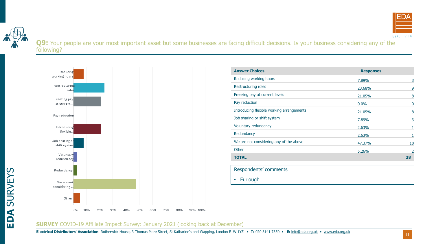



Q9: Your people are your most important asset but some businesses are facing difficult decisions. Is your business considering any of the following?



| <b>Answer Choices</b>                     | <b>Responses</b> |             |
|-------------------------------------------|------------------|-------------|
| Reducing working hours                    | 7.89%            | 3           |
| Restructuring roles                       | 23.68%           | 9           |
| Freezing pay at current levels            | 21.05%           | 8           |
| Pay reduction                             | $0.0\%$          | $\mathbf 0$ |
| Introducing flexible working arrangements | 21.05%           | 8           |
| Job sharing or shift system               | 7.89%            | 3           |
| Voluntary redundancy                      | 2.63%            |             |
| Redundancy                                | 2.63%            |             |
| We are not considering any of the above   | 47.37%           | 18          |
| Other                                     | 5.26%            | 2           |
| <b>TOTAL</b>                              |                  | 38          |
|                                           |                  |             |

Respondents' comments • Furlough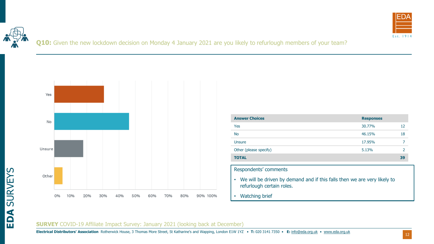



Q10: Given the new lockdown decision on Monday 4 January 2021 are you likely to refurlough members of your team?



| <b>Answer Choices</b>  | <b>Responses</b> |    |
|------------------------|------------------|----|
| Yes                    | 30.77%           | 12 |
| <b>No</b>              | 46.15%           | 18 |
| Unsure                 | 17.95%           |    |
| Other (please specify) | 5.13%            |    |
| <b>TOTAL</b>           |                  | 39 |

Respondents' comments

- We will be driven by demand and if this falls then we are very likely to refurlough certain roles.
- Watching brief

#### **SURVEY** COVID-19 Affiliate Impact Survey: January 2021 (looking back at December)

**Electrical Distributors' Association** Rotherwick House, 3 Thomas More Street, St Katharine's and Wapping, London E1W 1YZ • **T:** 020 3141 7350 • **E:** [info@eda.org.uk](mailto:info@eda.org.uk) • [www.eda.org.uk](https://www.eda.org.uk/)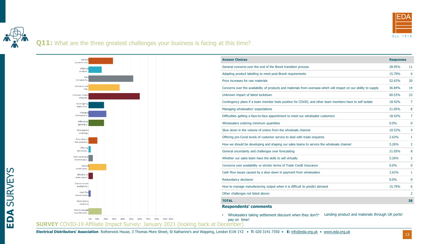

# **Q11:** What are the three greatest challenges your business is facing at this time?



**EDA** SURVEYS

| <b>Answer Choices</b>                                                                                             | <b>Responses</b> |                |
|-------------------------------------------------------------------------------------------------------------------|------------------|----------------|
| General concerns over the end of the Brexit transition process                                                    | 28.95%           | 11             |
| Adapting product labelling to meet post-Brexit requirements                                                       | 15.79%           | 6              |
| Price increases for raw materials                                                                                 | 52.63%           | 20             |
| Concerns over the availability of products and materials from overseas which will impact on our ability to supply | 36.84%           | 14             |
| Unknown impact of latest lockdown                                                                                 | 60.53%           | 23             |
| Contingency plans if a team member tests positive for COVID, and other team members have to self isolate          | 18.42%           | $\overline{7}$ |
| Managing wholesalers' expectations                                                                                | 21.05%           | 8              |
| Difficulties getting a face-to-face appointment to meet our wholesaler customers                                  | 18.42%           | $\overline{7}$ |
| Wholesalers ordering minimum quantities                                                                           | 0.0%             | $\mathbf 0$    |
| Slow down in the volume of orders from the wholesale channel                                                      | 10.53%           | 4              |
| Offering pre-Covid levels of customer service to deal with trade enquiries                                        | 2.63%            | $\mathbf{1}$   |
| How we should be developing and shaping our sales teams to service the wholesale channel                          | 5.26%            | 2              |
| General uncertainty and challenges over forecasting                                                               | 21.05%           | 8              |
| Whether our sales team have the skills to sell virtually                                                          | 5.26%            | $\overline{2}$ |
| Concerns over availability or stricter terms of Trade Credit Insurance                                            | 0.0%             | 0              |
| Cash flow issues caused by a slow down in payment from wholesalers                                                | 2.63%            | $\mathbf{1}$   |
| Redundancy decisions                                                                                              | 0.0%             | 0              |
| How to manage manufacturing output when it is difficult to predict demand                                         | 15.79%           | 6              |
| Other challenges not listed above:                                                                                |                  | $\overline{2}$ |
| <b>TOTAL</b>                                                                                                      |                  | 38             |
| <b>Respondents' comments</b>                                                                                      |                  |                |

• Wholesalers taking settlement discount when they don't \* Landing product and materials through UK ports!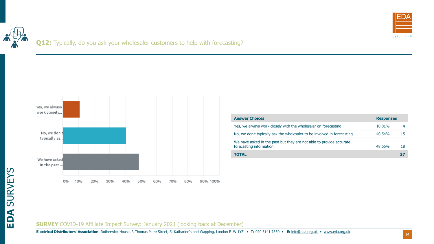

**Q12:** Typically, do you ask your wholesaler customers to help with forecasting?



| <b>Answer Choices</b>                                                                          | <b>Responses</b> |    |
|------------------------------------------------------------------------------------------------|------------------|----|
| Yes, we always work closely with the wholesaler on forecasting                                 | 10.81%           |    |
| No, we don't typically ask the wholesaler to be involved in forecasting                        | $40.54\%$        | 15 |
| We have asked in the past but they are not able to provide accurate<br>forecasting information | 48.65%           | 18 |
| <b>TOTAL</b>                                                                                   |                  | 37 |

#### **SURVEY** COVID-19 Affiliate Impact Survey: January 2021 (looking back at December)

**Electrical Distributors' Association** Rotherwick House, 3 Thomas More Street, St Katharine's and Wapping, London E1W 1YZ • **T:** 020 3141 7350 • **E:** [info@eda.org.uk](mailto:info@eda.org.uk) • [www.eda.org.uk](https://www.eda.org.uk/)

14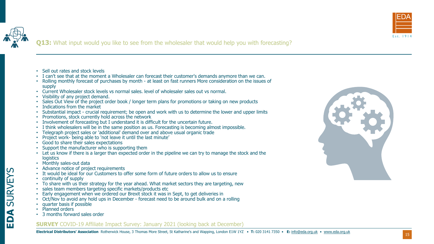



# **Q13:** What input would you like to see from the wholesaler that would help you with forecasting?

- Sell out rates and stock levels
- I can't see that at the moment a Wholesaler can forecast their customer's demands anymore than we can.
- Rolling monthly forecast of purchases by month at least on fast runners More consideration on the issues of supply
- Current Wholesaler stock levels vs normal sales. level of wholesaler sales out vs normal.
- Visibility of any project demand.
- Sales Out View of the project order book / longer term plans for promotions or taking on new products
- Indications from the market
- Substantial impact crucial requirement; be open and work with us to determine the lower and upper limits
- Promotions, stock currently hold across the network
- Involvement of forecasting but I understand it is difficult for the uncertain future.
- I think wholesalers will be in the same position as us. Forecasting is becoming almost impossible.
- Telegraph project sales or 'additional' demand over and above usual organic trade
- Project work- being able to 'not leave it until the last minute'
- Good to share their sales expectations
- Support the manufacturer who is supporting them
- Let us know if there is a larger than expected order in the pipeline we can try to manage the stock and the logistics
- Monthly sales-out data
- Advance notice of project requirements
- It would be ideal for our Customers to offer some form of future orders to allow us to ensure
- continuity of supply
- To share with us their strategy for the year ahead. What market sectors they are targeting, new
- sales team members targeting specific markets/products etc
- Early engagement when we ordered our Brexit stock it was in Sept, to get deliveries in
- Oct/Nov to avoid any hold ups in December forecast need to be around bulk and on a rolling
- quarter basis if possible
- Planned orders
- 3 months forward sales order

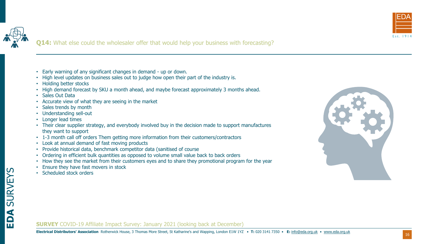



# **Q14:** What else could the wholesaler offer that would help your business with forecasting?

- Early warning of any significant changes in demand up or down.
- High level updates on business sales out to judge how open their part of the industry is.
- Holding better stocks
- High demand forecast by SKU a month ahead, and maybe forecast approximately 3 months ahead.
- Sales Out Data
- Accurate view of what they are seeing in the market
- Sales trends by month
- Understanding sell-out
- Longer lead times
- Their clear supplier strategy, and everybody involved buy in the decision made to support manufactures they want to support
- 1-3 month call off orders Them getting more information from their customers/contractors
- Look at annual demand of fast moving products
- Provide historical data, benchmark competitor data (sanitised of course
- Ordering in efficient bulk quantities as opposed to volume small value back to back orders
- How they see the market from their customers eyes and to share they promotional program for the year
- Ensure they have fast movers in stock
- Scheduled stock orders

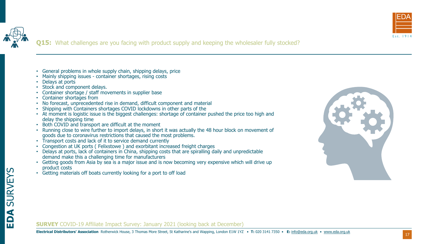



**EDA** SURVEYS

# **Q15:** What challenges are you facing with product supply and keeping the wholesaler fully stocked?

- General problems in whole supply chain, shipping delays, price
- Mainly shipping issues container shortages, rising costs
- Delays at ports
- Stock and component delays.
- Container shortage / staff movements in supplier base
- Container shortages from
- No forecast, unprecedented rise in demand, difficult component and material
- Shipping with Containers shortages COVID lockdowns in other parts of the
- At moment is logistic issue is the biggest challenges: shortage of container pushed the price too high and delay the shipping time
- Both COVID and transport are difficult at the moment
- Running close to wire further to import delays, in short it was actually the 48 hour block on movement of goods due to coronavirus restrictions that caused the most problems.
- Transport costs and lack of it to service demand currently
- Congestion at UK ports ( Felixstowe ) and exorbitant increased freight charges
- Delays at ports, lack of containers in China, shipping costs that are spiralling daily and unpredictable demand make this a challenging time for manufacturers
- Getting goods from Asia by sea is a major issue and is now becoming very expensive which will drive up product costs
- Getting materials off boats currently looking for a port to off load

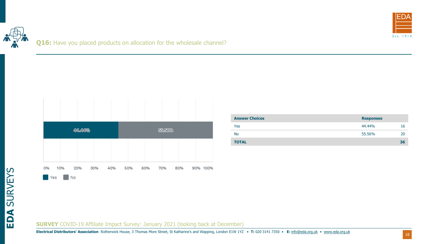

Q16: Have you placed products on allocation for the wholesale channel?



| <b>Answer Choices</b> | <b>Responses</b> |    |
|-----------------------|------------------|----|
| Yes                   | 44.44%           | 16 |
| No                    | 55.56%           | 20 |
| <b>TOTAL</b>          |                  | 36 |

**SURVEY** COVID-19 Affiliate Impact Survey: January 2021 (looking back at December)

**Electrical Distributors' Association** Rotherwick House, 3 Thomas More Street, St Katharine's and Wapping, London E1W 1YZ • **T:** 020 3141 7350 • **E:** [info@eda.org.uk](mailto:info@eda.org.uk) • [www.eda.org.uk](https://www.eda.org.uk/)

**EDA** SURVEYS

18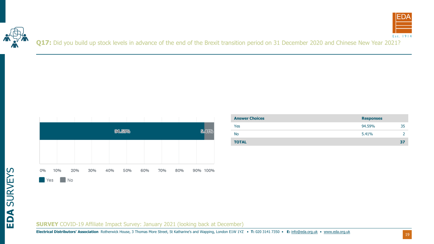



Q17: Did you build up stock levels in advance of the end of the Brexit transition period on 31 December 2020 and Chinese New Year 2021?



| <b>Answer Choices</b> | <b>Responses</b> |    |
|-----------------------|------------------|----|
| Yes                   | 94.59%           | 35 |
| <b>No</b>             | 5.41%            |    |
| <b>TOTAL</b>          |                  | 37 |

**SURVEY** COVID-19 Affiliate Impact Survey: January 2021 (looking back at December)

**Electrical Distributors' Association** Rotherwick House, 3 Thomas More Street, St Katharine's and Wapping, London E1W 1YZ • **T:** 020 3141 7350 • **E:** [info@eda.org.uk](mailto:info@eda.org.uk) • [www.eda.org.uk](https://www.eda.org.uk/)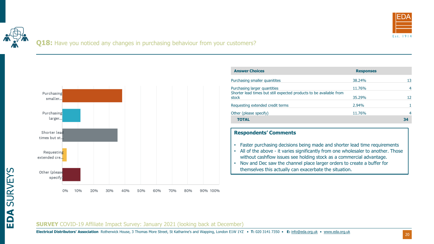

**Q18:** Have you noticed any changes in purchasing behaviour from your customers?



| <b>Answer Choices</b>                                                                               | <b>Responses</b> |    |
|-----------------------------------------------------------------------------------------------------|------------------|----|
| Purchasing smaller quanitites                                                                       | 38.24%           | 13 |
| Purchasing larger quantities<br>Shorter lead times but still expected products to be available from | 11.76%           |    |
| stock                                                                                               | 35.29%           | 12 |
| Requesting extended credit terms                                                                    | 2.94%            |    |
| Other (please specify)                                                                              | 11.76%           |    |
| <b>TOTAL</b>                                                                                        |                  | 34 |

#### **Respondents' Comments**

- Faster purchasing decisions being made and shorter lead time requirements
- All of the above it varies significantly from one wholesaler to another. Those without cashflow issues see holding stock as a commercial advantage.
- Nov and Dec saw the channel place larger orders to create a buffer for themselves this actually can exacerbate the situation.

#### **SURVEY** COVID-19 Affiliate Impact Survey: January 2021 (looking back at December)

**Electrical Distributors' Association** Rotherwick House, 3 Thomas More Street, St Katharine's and Wapping, London E1W 1YZ • **T:** 020 3141 7350 • **E:** [info@eda.org.uk](mailto:info@eda.org.uk) • [www.eda.org.uk](https://www.eda.org.uk/)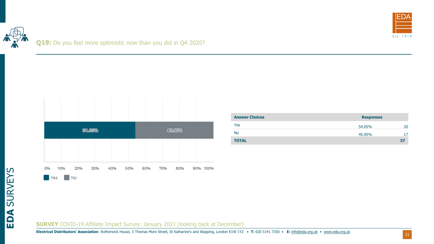



| 10%<br>20% | 30% | 40%    | 60% | 70% | 80% |        | 90% 100% |
|------------|-----|--------|-----|-----|-----|--------|----------|
|            | No  | 54.05% | 50% |     |     | 45.95% |          |

| <b>Answer Choices</b> | <b>Responses</b> |    |
|-----------------------|------------------|----|
| Yes                   | 54.05%           | 20 |
| <b>No</b>             | 45.95%           |    |
| <b>TOTAL</b>          |                  | 37 |

**SURVEY** COVID-19 Affiliate Impact Survey: January 2021 (looking back at December)

**Electrical Distributors' Association** Rotherwick House, 3 Thomas More Street, St Katharine's and Wapping, London E1W 1YZ • **T:** 020 3141 7350 • **E:** [info@eda.org.uk](mailto:info@eda.org.uk) • [www.eda.org.uk](https://www.eda.org.uk/)

**EDA** SURVEYS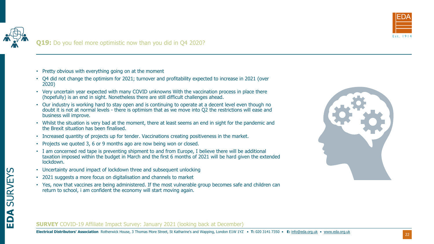

- Pretty obvious with everything going on at the moment
- Q4 did not change the optimism for 2021; turnover and profitability expected to increase in 2021 (over 2020)
- Very uncertain year expected with many COVID unknowns With the vaccination process in place there (hopefully) is an end in sight. Nonetheless there are still difficult challenges ahead.
- Our industry is working hard to stay open and is continuing to operate at a decent level even though no doubt it is not at normal levels - there is optimism that as we move into Q2 the restrictions will ease and business will improve.
- Whilst the situation is very bad at the moment, there at least seems an end in sight for the pandemic and the Brexit situation has been finalised.
- Increased quantity of projects up for tender. Vaccinations creating positiveness in the market.
- Projects we quoted 3, 6 or 9 months ago are now being won or closed.
- I am concerned red tape is preventing shipment to and from Europe, I believe there will be additional taxation imposed within the budget in March and the first 6 months of 2021 will be hard given the extended lockdown.
- Uncertainty around impact of lockdown three and subsequent unlocking
- 2021 suggests a more focus on digitalisation and channels to market
- Yes, now that vaccines are being administered. If the most vulnerable group becomes safe and children can return to school, i am confident the economy will start moving again.

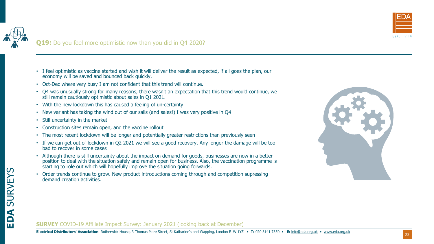

# **Q19:** Do you feel more optimistic now than you did in Q4 2020?

- I feel optimistic as vaccine started and wish it will deliver the result as expected, if all goes the plan, our economy will be saved and bounced back quickly.
- Oct-Dec where very busy I am not confident that this trend will continue.
- Q4 was unusually strong for many reasons, there wasn't an expectation that this trend would continue, we still remain cautiously optimistic about sales in Q1 2021.
- With the new lockdown this has caused a feeling of un-certainty
- New variant has taking the wind out of our sails (and sales!) I was very positive in Q4
- Still uncertainty in the market
- Construction sites remain open, and the vaccine rollout
- The most recent lockdown will be longer and potentially greater restrictions than previously seen
- If we can get out of lockdown in Q2 2021 we will see a good recovery. Any longer the damage will be too bad to recover in some cases
- Although there is still uncertainty about the impact on demand for goods, businesses are now in a better position to deal with the situation safely and remain open for business. Also, the vaccination programme is starting to role out which will hopefully improve the situation going forwards.
- Order trends continue to grow. New product introductions coming through and competition supressing demand creation activities.